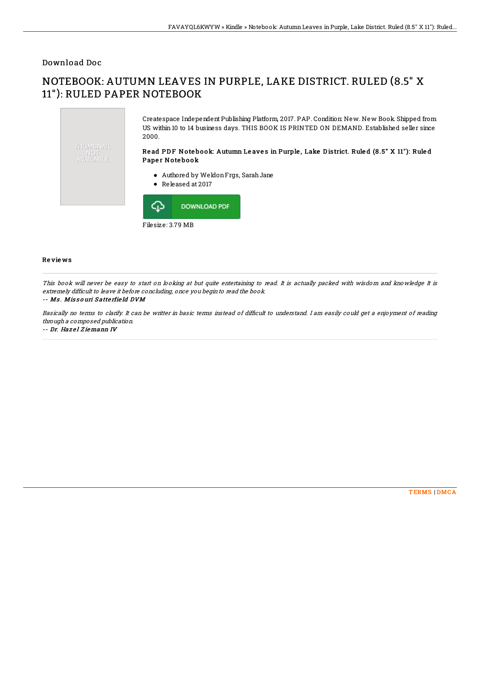### Download Doc

# NOTEBOOK: AUTUMN LEAVES IN PURPLE, LAKE DISTRICT. RULED (8.5" X 11"): RULED PAPER NOTEBOOK



#### Re vie ws

This book will never be easy to start on looking at but quite entertaining to read. It is actually packed with wisdom and knowledge It is extremely difficult to leave it before concluding, once you begin to read the book.

#### -- Ms. Missouri Satterfield DVM

Basically no terms to clarify. It can be writter in basic terms instead of difEcult to understand. I am easily could get <sup>a</sup> enjoyment of reading through <sup>a</sup> composed publication.

-- Dr. Hazel Ziemann IV